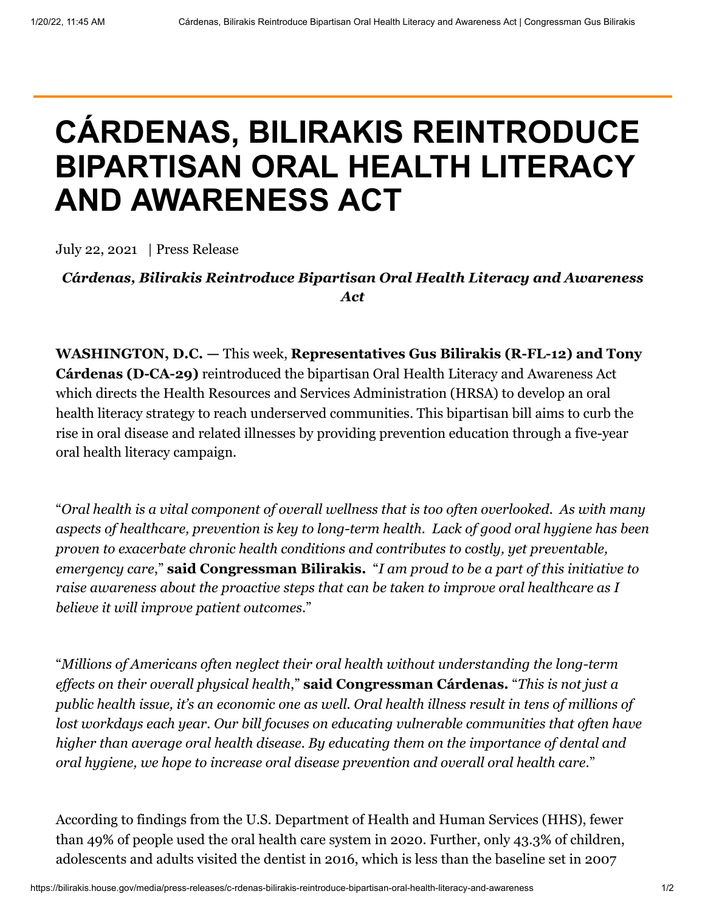## **CÁRDENAS, BILIRAKIS REINTRODUCE BIPARTISAN ORAL HEALTH LITERACY AND AWARENESS ACT**

July 22, 2021 | Press Release

## *Cárdenas, Bilirakis Reintroduce Bipartisan Oral Health Literacy and Awareness Act*

**WASHINGTON, D.C. —** This week, **Representatives Gus Bilirakis (R-FL-12) and Tony Cárdenas (D-CA-29)** reintroduced the bipartisan Oral Health Literacy and Awareness Act which directs the Health Resources and Services Administration (HRSA) to develop an oral health literacy strategy to reach underserved communities. This bipartisan bill aims to curb the rise in oral disease and related illnesses by providing prevention education through a five-year oral health literacy campaign.

"*Oral health is a vital component of overall wellness that is too often overlooked. As with many aspects of healthcare, prevention is key to long-term health. Lack of good oral hygiene has been proven to exacerbate chronic health conditions and contributes to costly, yet preventable, emergency care*," **said Congressman Bilirakis.** "*I am proud to be a part of this initiative to raise awareness about the proactive steps that can be taken to improve oral healthcare as I believe it will improve patient outcomes*."

"*Millions of Americans often neglect their oral health without understanding the long-term effects on their overall physical health*," **said Congressman Cárdenas.** "*This is not just a public health issue, it's an economic one as well. Oral health illness result in tens of millions of lost workdays each year. Our bill focuses on educating vulnerable communities that often have higher than average oral health disease. By educating them on the importance of dental and oral hygiene, we hope to increase oral disease prevention and overall oral health care*."

According to findings from the U.S. Department of Health and Human Services (HHS), fewer than 49% of people used the oral health care system in 2020. Further, only 43.3% of children, adolescents and adults visited the dentist in 2016, which is less than the baseline set in 2007